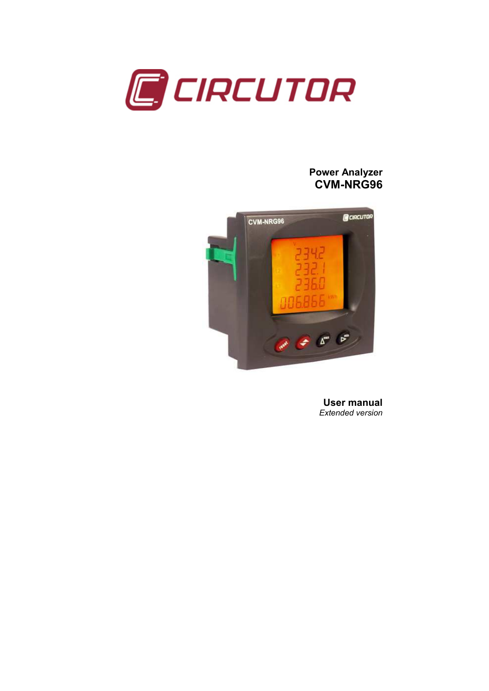

# Power Analyzer CVM-NRG96



User manual Extended version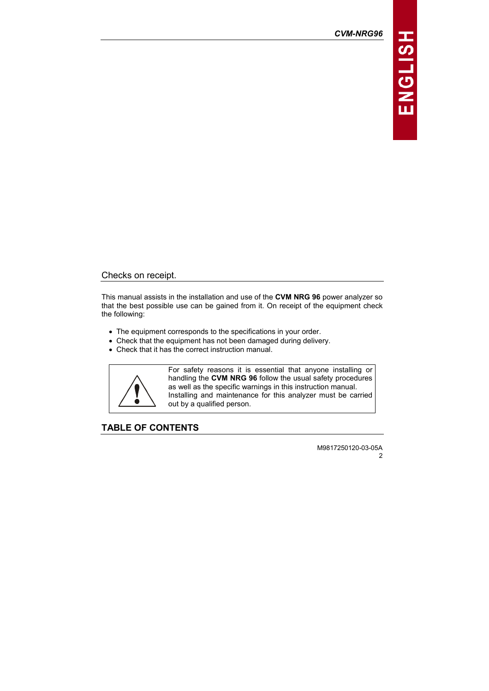CVM-NRG96

# **ENGLISH**

Checks on receipt.

This manual assists in the installation and use of the CVM NRG 96 power analyzer so that the best possible use can be gained from it. On receipt of the equipment check the following:

- The equipment corresponds to the specifications in your order.
- Check that the equipment has not been damaged during delivery.
- Check that it has the correct instruction manual.



For safety reasons it is essential that anyone installing or handling the CVM NRG 96 follow the usual safety procedures as well as the specific warnings in this instruction manual. Installing and maintenance for this analyzer must be carried out by a qualified person.

TABLE OF CONTENTS

M9817250120-03-05A  $\mathfrak{p}$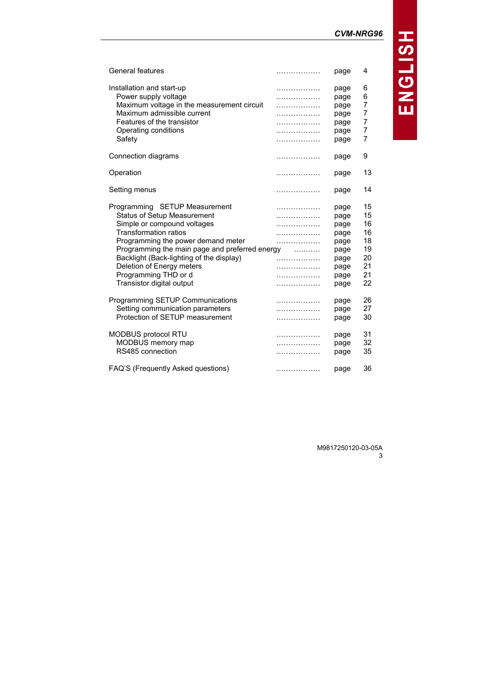CVM-NRG96

|  | UVM-INRUYO |  |  |
|--|------------|--|--|
|  |            |  |  |

| .                                              | page                                                                         | 4                                                        |
|------------------------------------------------|------------------------------------------------------------------------------|----------------------------------------------------------|
| .<br>.<br>.<br>.<br>.<br>.<br>.                | page<br>page<br>page<br>page<br>page<br>page<br>page                         | 6<br>6<br>7<br>7<br>7<br>7<br>7                          |
| .                                              | page                                                                         | 9                                                        |
| .                                              | page                                                                         | 13                                                       |
| .                                              | page                                                                         | 14                                                       |
| .<br>.<br>.<br>.<br>.<br>.<br>.<br>.<br>.<br>. | page<br>page<br>page<br>page<br>page<br>page<br>page<br>page<br>page<br>page | 15<br>15<br>16<br>16<br>18<br>19<br>20<br>21<br>21<br>22 |
| .<br>.<br>.                                    | page<br>page<br>page                                                         | 26<br>27<br>30                                           |
| .<br>.<br>.                                    | page<br>page<br>page                                                         | 31<br>32<br>35<br>36                                     |
|                                                | Programming the main page and preferred energy<br>.                          | page                                                     |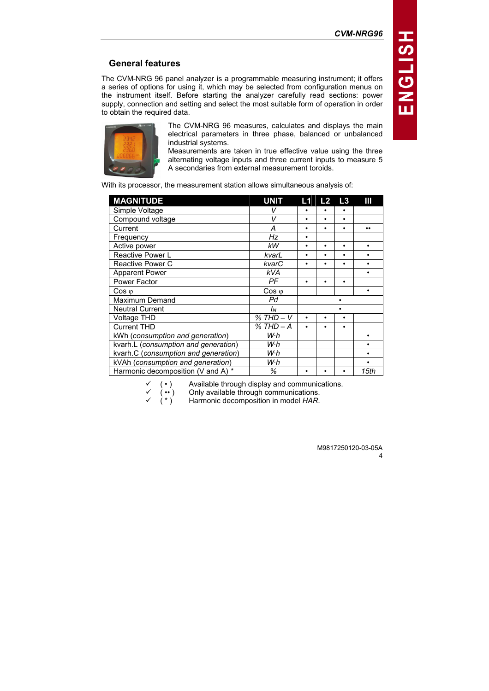# General features

The CVM-NRG 96 panel analyzer is a programmable measuring instrument; it offers a series of options for using it, which may be selected from configuration menus on the instrument itself. Before starting the analyzer carefully read sections: power supply, connection and setting and select the most suitable form of operation in order to obtain the required data.



The CVM-NRG 96 measures, calculates and displays the main electrical parameters in three phase, balanced or unbalanced industrial systems.

Measurements are taken in true effective value using the three alternating voltage inputs and three current inputs to measure 5 A secondaries from external measurement toroids.

With its processor, the measurement station allows simultaneous analysis of:

| <b>MAGNITUDE</b>                     | <b>UNIT</b>    | L1        | L <sub>2</sub> | L3        | Ш    |
|--------------------------------------|----------------|-----------|----------------|-----------|------|
| Simple Voltage                       |                |           |                |           |      |
| Compound voltage                     | V              | ٠         | ۰              | $\bullet$ |      |
| Current                              | А              | ٠         |                | ٠         |      |
| Frequency                            | Hz             | ٠         |                |           |      |
| Active power                         | <b>kW</b>      | $\bullet$ | ۰              | $\bullet$ | ٠    |
| <b>Reactive Power L</b>              | kvarL          | $\bullet$ | ٠              | ٠         |      |
| <b>Reactive Power C</b>              | kvarC          | ٠         | ٠              | $\bullet$ |      |
| <b>Apparent Power</b>                | kVA            |           |                |           |      |
| Power Factor                         | PF             | ٠         |                | ٠         |      |
| $\cos \varphi$                       | $\cos \varphi$ |           |                |           | ٠    |
| Maximum Demand                       | Pd             |           |                |           |      |
| <b>Neutral Current</b>               | $I_N$          |           |                |           |      |
| Voltage THD                          | $% THD-V$      | ٠         |                | ٠         |      |
| <b>Current THD</b>                   | % THD – A      | $\bullet$ |                | $\bullet$ |      |
| kWh (consumption and generation)     | Wh             |           |                |           |      |
| kvarh.L (consumption and generation) | W·h            |           |                |           |      |
| kvarh.C (consumption and generation) | W·h            |           |                |           |      |
| kVAh (consumption and generation)    | W·h            |           |                |           |      |
| Harmonic decomposition (V and A) *   | ℅              | ٠         |                |           | 15th |

 $\checkmark$  ( • ) Available through display and communications.<br>  $\checkmark$  ( • ) Only available through communications.<br>  $\checkmark$  ( \* ) Harmonic decomposition in model *HAR*.

Only available through communications.

Harmonic decomposition in model HAR.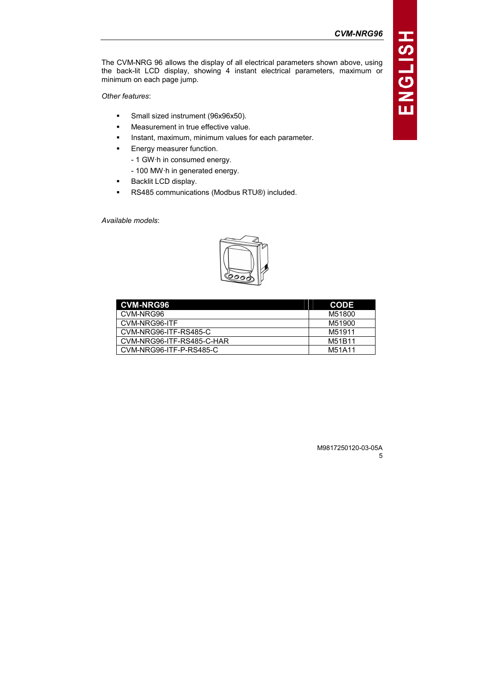The CVM-NRG 96 allows the display of all electrical parameters shown above, using the back-lit LCD display, showing 4 instant electrical parameters, maximum or minimum on each page jump.

## Other features:

- -Small sized instrument (96x96x50).
- -Measurement in true effective value.
- -Instant, maximum, minimum values for each parameter.
- - Energy measurer function.
	- 1 GW·h in consumed energy.
	- 100 MW·h in generated energy.
- -Backlit LCD display.
- -RS485 communications (Modbus RTU®) included.

Available models:



| <b>CVM-NRG96</b>          | <b>CODE</b> |
|---------------------------|-------------|
| CVM-NRG96                 | M51800      |
| CVM-NRG96-ITF             | M51900      |
| CVM-NRG96-ITF-RS485-C     | M51911      |
| CVM-NRG96-ITF-RS485-C-HAR | M51B11      |
| CVM-NRG96-ITF-P-RS485-C   | M51A11      |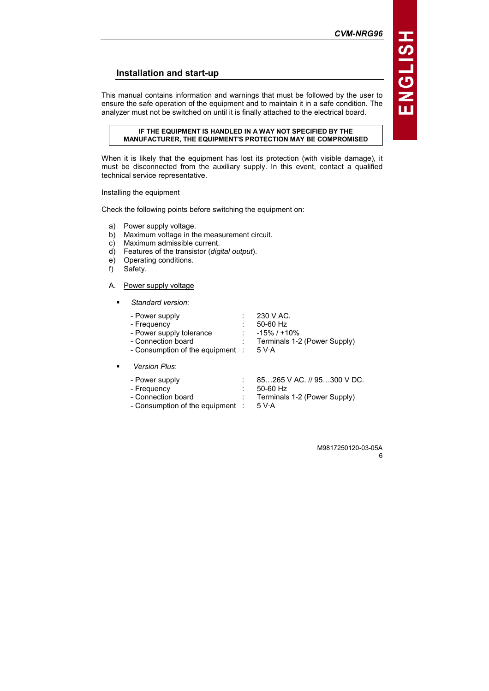# Installation and start-up

This manual contains information and warnings that must be followed by the user to ensure the safe operation of the equipment and to maintain it in a safe condition. The analyzer must not be switched on until it is finally attached to the electrical board.

### IF THE EQUIPMENT IS HANDLED IN A WAY NOT SPECIFIED BY THE MANUFACTURER, THE EQUIPMENT'S PROTECTION MAY BE COMPROMISED

When it is likely that the equipment has lost its protection (with visible damage), it must be disconnected from the auxiliary supply. In this event, contact a qualified technical service representative.

## Installing the equipment

Check the following points before switching the equipment on:

- a) Power supply voltage.
- b) Maximum voltage in the measurement circuit.
- c) Maximum admissible current.
- $\overrightarrow{d}$  Features of the transistor (digital output).
- e) Operating conditions.
- f) Safety.

-

-

### A. Power supply voltage

| Standard version:                                                                                                   |   |                                                                                     |
|---------------------------------------------------------------------------------------------------------------------|---|-------------------------------------------------------------------------------------|
| - Power supply<br>- Frequency<br>- Power supply tolerance<br>- Connection board<br>- Consumption of the equipment : | : | 230 V AC.<br>50-60 Hz<br>$-15\%$ / $+10\%$<br>Terminals 1-2 (Power Supply)<br>5 V·A |
| Version Plus:                                                                                                       |   |                                                                                     |
| - Power supply<br>- Frequency<br>- Connection board<br>- Consumption of the equipment                               | : | 85265 V AC. // 95300 V DC.<br>50-60 Hz<br>Terminals 1-2 (Power Supply)<br>5 V·A     |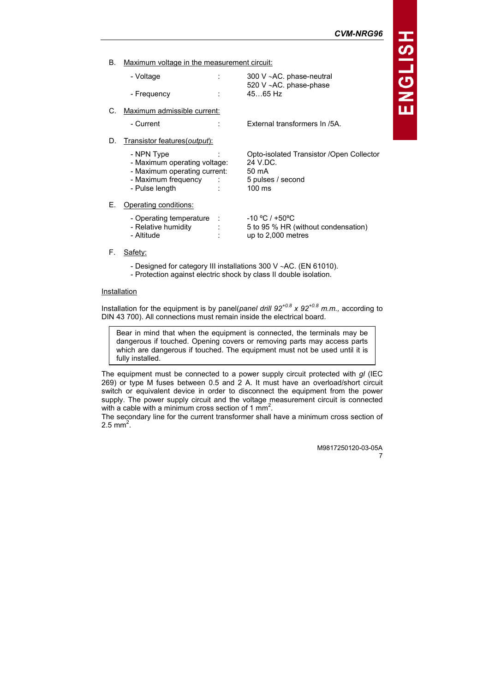CVM-NRG96

B. Maximum voltage in the measurement circuit:

| - Voltage   | ٠ | 300 V $\sim$ AC. phase-neutral |
|-------------|---|--------------------------------|
|             |   | 520 V $\sim$ AC. phase-phase   |
| - Frequency |   | 4565 Hz                        |

C. Maximum admissible current:

- Current : External transformers In /5A.

- D. Transistor features(output):
	- NPN Type : Opto-isolated Transistor /Open Collector
	- Maximum operating voltage: 24 V.DC.<br>- Maximum operating current: 50 mA
	- Maximum operating current: 50 mA<br>- Maximum frequency : 5 pulses / second
	- Maximum frequency :
	- Pulse length : 100 ms

### E. Operating conditions:

| - Operating temperature<br>- Relative humidity<br>- Altitude |  | $-10 °C$ / +50°C<br>5 to 95 % HR (without condensation)<br>up to $2,000$ metres |
|--------------------------------------------------------------|--|---------------------------------------------------------------------------------|
|--------------------------------------------------------------|--|---------------------------------------------------------------------------------|

- F. Safety:
	- Designed for category III installations 300 V ∼AC. (EN 61010).
	- Protection against electric shock by class II double isolation.

### **Installation**

Installation for the equipment is by panel(panel drill  $92^{+0.8}$  x  $92^{+0.8}$  m.m., according to DIN 43 700). All connections must remain inside the electrical board.

Bear in mind that when the equipment is connected, the terminals may be dangerous if touched. Opening covers or removing parts may access parts which are dangerous if touched. The equipment must not be used until it is fully installed.

The equipment must be connected to a power supply circuit protected with  $gl$  (IEC 269) or type M fuses between 0.5 and 2 A. It must have an overload/short circuit switch or equivalent device in order to disconnect the equipment from the power supply. The power supply circuit and the voltage measurement circuit is connected with a cable with a minimum cross section of 1  $mm<sup>2</sup>$ .

The secondary line for the current transformer shall have a minimum cross section of  $2.5$  mm<sup>2</sup>.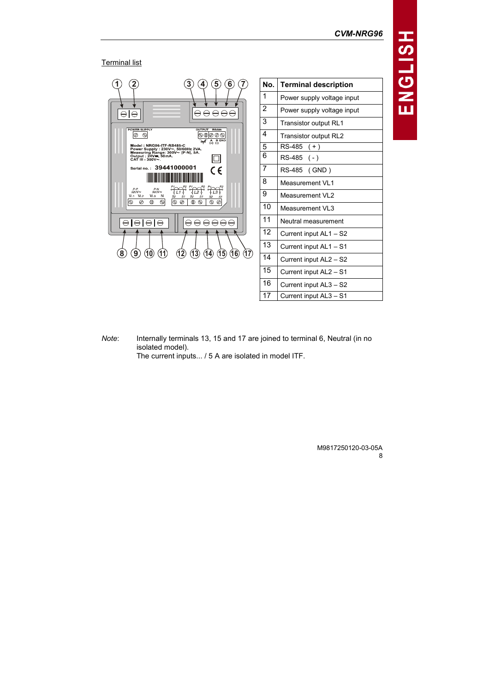## **Terminal list**



No. Terminal description Power supply voltage input Power supply voltage input Transistor output RL1 Transistor output RL2 RS-485 ( + ) RS-485 ( - ) RS-485 ( GND ) Measurement VL1 Measurement VL2 Measurement VL3 Neutral measurement Current input AL1 – S2 Current input AL1 – S1 Current input AL2 – S2 Current input AL2 – S1 Current input AL3 – S2 Current input AL3 – S1

Note: Internally terminals 13, 15 and 17 are joined to terminal 6, Neutral (in no isolated model). The current inputs... / 5 A are isolated in model ITF.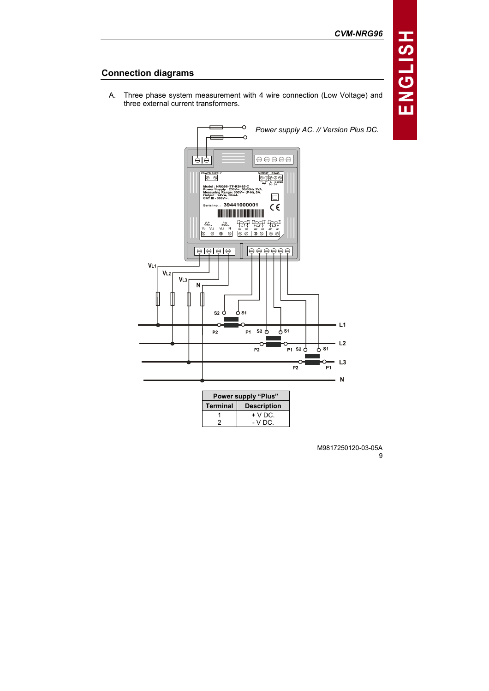# Connection diagrams

A. Three phase system measurement with 4 wire connection (Low Voltage) and three external current transformers.

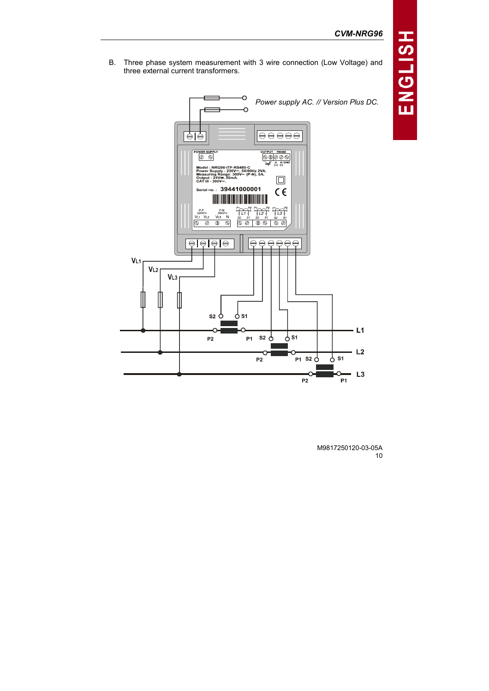B. Three phase system measurement with 3 wire connection (Low Voltage) and three external current transformers.

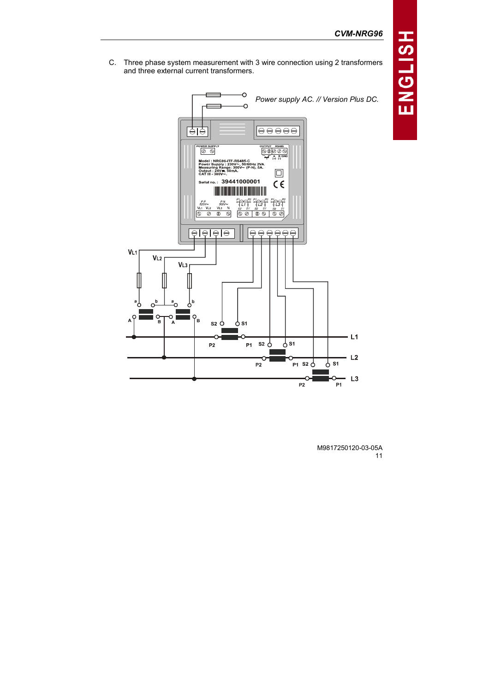C. Three phase system measurement with 3 wire connection using 2 transformers and three external current transformers.

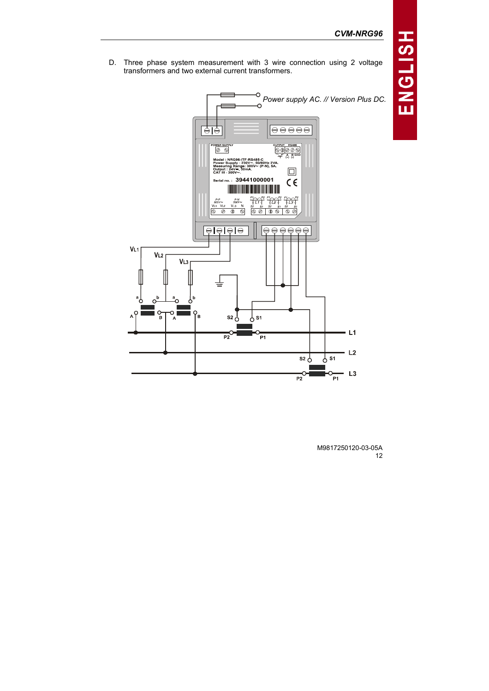D. Three phase system measurement with 3 wire connection using 2 voltage transformers and two external current transformers.

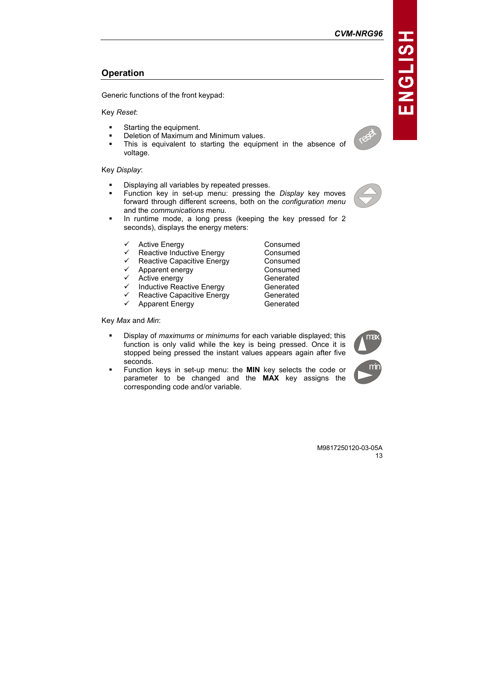# **Operation**

Generic functions of the front keypad:

Key Reset:

- -Starting the equipment.
- -Deletion of Maximum and Minimum values.
- - This is equivalent to starting the equipment in the absence of voltage.

Key Display:

- -Displaying all variables by repeated presses.
- -Function key in set-up menu: pressing the *Display* key moves forward through different screens, both on the configuration menu and the communications menu.
- - In runtime mode, a long press (keeping the key pressed for 2 seconds), displays the energy meters:
	- Active Energy **Consumed**
	- ← Reactive Inductive Energy Consumed<br>← Reactive Canacitive Energy Consumed
	- Reactive Capacitive Energy Consumed<br>Apparent energy Consumed
	- $\checkmark$  Apparent energy
	-
	- $\checkmark$  Active energy Generated<br> $\checkmark$  Inductive Reactive Energy Generated  $\checkmark$  Inductive Reactive Energy Generated<br>  $\checkmark$  Reactive Capacitive Energy Generated
	- Reactive Capacitive Energy
	- $\checkmark$  Apparent Energy Generated

Key Max and Min:

- - Display of maximums or minimums for each variable displayed; this function is only valid while the key is being pressed. Once it is stopped being pressed the instant values appears again after five seconds.
- - Function keys in set-up menu: the MIN key selects the code or parameter to be changed and the MAX key assigns the corresponding code and/or variable.

M9817250120-03-05A 13





vega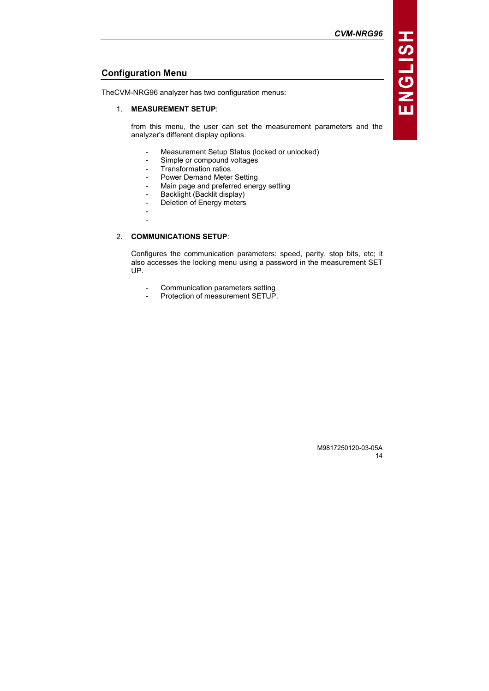# Configuration Menu

TheCVM-NRG96 analyzer has two configuration menus:

### 1. MEASUREMENT SETUP:

from this menu, the user can set the measurement parameters and the analyzer's different display options.

- Measurement Setup Status (locked or unlocked)
- Simple or compound voltages
- Transformation ratios
- Power Demand Meter Setting
- Main page and preferred energy setting
- Backlight (Backlit display)
- Deletion of Energy meters
- -
- -

## 2. COMMUNICATIONS SETUP:

Configures the communication parameters: speed, parity, stop bits, etc; it also accesses the locking menu using a password in the measurement SET UP.

- Communication parameters setting
- Protection of measurement SETUP.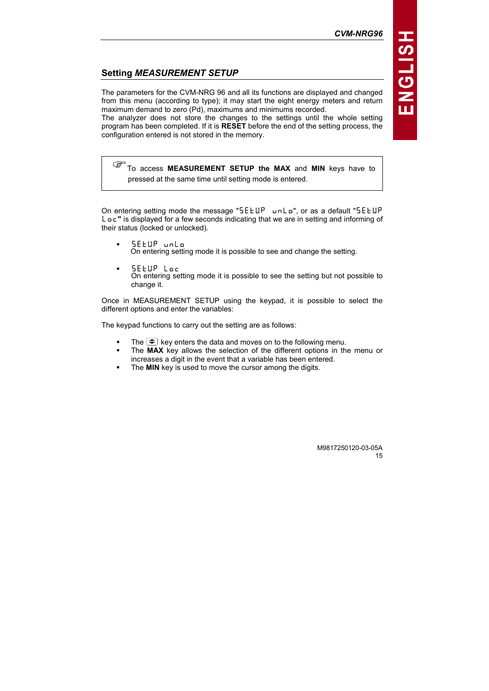# Setting MEASUREMENT SETUP

The parameters for the CVM-NRG 96 and all its functions are displayed and changed from this menu (according to type); it may start the eight energy meters and return maximum demand to zero (Pd), maximums and minimums recorded.

The analyzer does not store the changes to the settings until the whole setting program has been completed. If it is RESET before the end of the setting process, the configuration entered is not stored in the memory.

To access MEASUREMENT SETUP the MAX and MIN keys have to pressed at the same time until setting mode is entered.

On entering setting mode the message "SEEUP unLo", or as a default "SEEUP L o c " is displayed for a few seconds indicating that we are in setting and informing of their status (locked or unlocked).

- -SEEUP wolo On entering setting mode it is possible to see and change the setting.
- -SEEUP Loc On entering setting mode it is possible to see the setting but not possible to change it.

Once in MEASUREMENT SETUP using the keypad, it is possible to select the different options and enter the variables:

The keypad functions to carry out the setting are as follows:

- -The  $\blacktriangleright$  key enters the data and moves on to the following menu.
- - The MAX key allows the selection of the different options in the menu or increases a digit in the event that a variable has been entered.
- -The MIN key is used to move the cursor among the digits.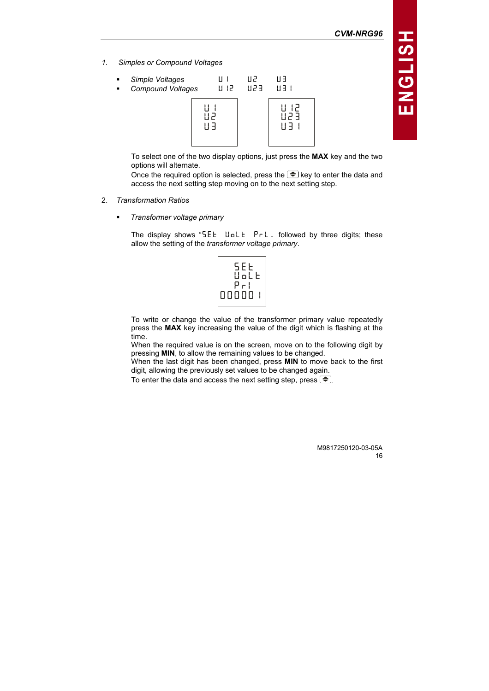CVM-NRG96

1. Simples or Compound Voltages

| $\blacksquare$ | Simple Voltages   | !! !   | 11 P   | 11 F    |
|----------------|-------------------|--------|--------|---------|
| $\blacksquare$ | Compound Voltages | 11 I.P | 11 P F | 11 F 11 |
|                |                   |        |        | 51      |

To select one of the two display options, just press the MAX key and the two options will alternate.

Once the required option is selected, press the  $\blacktriangleright$  key to enter the data and access the next setting step moving on to the next setting step.

- 2. Transformation Ratios
	- -Transformer voltage primary

The display shows " $5EE$  Uolt  $PrL$  followed by three digits; these allow the setting of the transformer voltage primary.

| SEE<br>Uol<br>E |
|-----------------|
| ا - ۳<br>00000  |

To write or change the value of the transformer primary value repeatedly press the MAX key increasing the value of the digit which is flashing at the time.

When the required value is on the screen, move on to the following digit by pressing MIN, to allow the remaining values to be changed.

When the last digit has been changed, press MIN to move back to the first digit, allowing the previously set values to be changed again.

To enter the data and access the next setting step, press  $\blacktriangleright$ .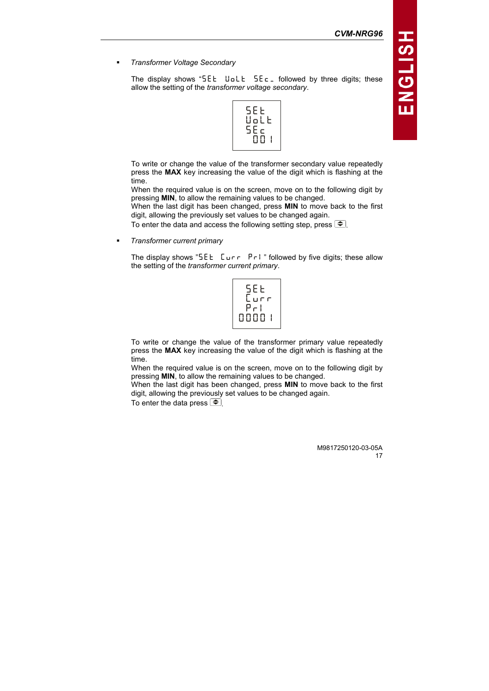-Transformer Voltage Secondary

> The display shows "SEE UoLE  $5E_{\text{C}}$  followed by three digits; these allow the setting of the transformer voltage secondary.



To write or change the value of the transformer secondary value repeatedly press the MAX key increasing the value of the digit which is flashing at the time.

When the required value is on the screen, move on to the following digit by pressing MIN, to allow the remaining values to be changed.

When the last digit has been changed, press MIN to move back to the first digit, allowing the previously set values to be changed again.

To enter the data and access the following setting step, press  $\blacktriangleright$ .

-Transformer current primary

> The display shows "SEE  $Lur - Pr$  " followed by five digits; these allow the setting of the transformer current primary.



To write or change the value of the transformer primary value repeatedly press the MAX key increasing the value of the digit which is flashing at the time.

When the required value is on the screen, move on to the following digit by pressing MIN, to allow the remaining values to be changed.

When the last digit has been changed, press MIN to move back to the first digit, allowing the previously set values to be changed again.

To enter the data press  $\leftarrow$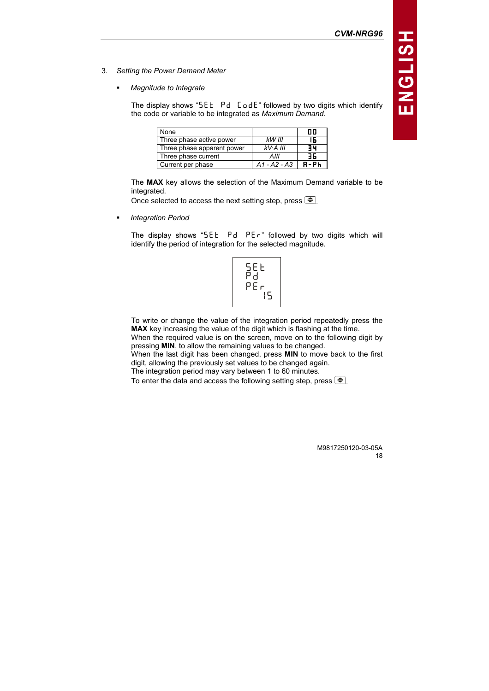- 3. Setting the Power Demand Meter
	- -Magnitude to Integrate

The display shows " $5EE$   $Pd$   $E$   $dE$ " followed by two digits which identify the code or variable to be integrated as Maximum Demand.

| None                       |                | nn |
|----------------------------|----------------|----|
| Three phase active power   | $k$ W III      |    |
| Three phase apparent power | $kV$ A III     |    |
| Three phase current        | AIII           | 36 |
| Current per phase          | $A1 - A2 - A3$ |    |

The MAX key allows the selection of the Maximum Demand variable to be integrated.

Once selected to access the next setting step, press  $\boxed{\triangle}$ .

-Integration Period

> The display shows " $5E E$   $Pd$   $PEr$ " followed by two digits which will identify the period of integration for the selected magnitude.



To write or change the value of the integration period repeatedly press the MAX key increasing the value of the digit which is flashing at the time. When the required value is on the screen, move on to the following digit by

pressing MIN, to allow the remaining values to be changed.

When the last digit has been changed, press MIN to move back to the first digit, allowing the previously set values to be changed again.

The integration period may vary between 1 to 60 minutes.

To enter the data and access the following setting step, press  $\blacktriangleright$ .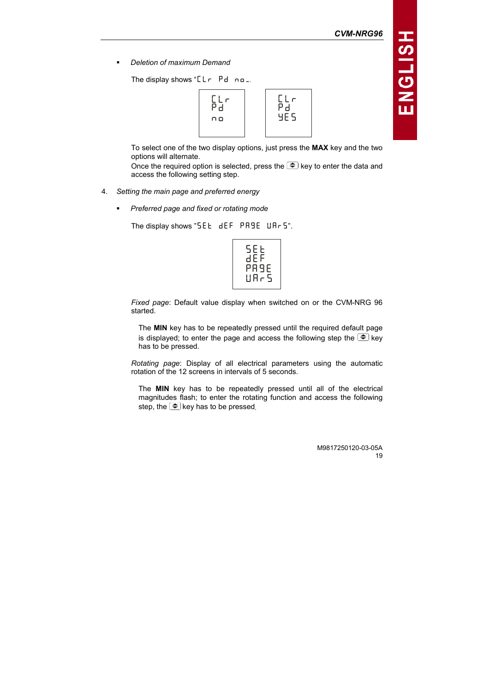CVM-NRG96

-Deletion of maximum Demand

The display shows " $L \rightharpoonup P d \rightharpoonup$ .



To select one of the two display options, just press the MAX key and the two options will alternate.

Once the required option is selected, press the  $\widehat{\mathcal{F}}$  key to enter the data and access the following setting step.

- 4. Setting the main page and preferred energy
	- -Preferred page and fixed or rotating mode

The display shows "SEE  $dEF$  PR9E UR-5".



Fixed page: Default value display when switched on or the CVM-NRG 96 started.

The MIN key has to be repeatedly pressed until the required default page is displayed; to enter the page and access the following step the  $\blacktriangleright$  key has to be pressed.

Rotating page: Display of all electrical parameters using the automatic rotation of the 12 screens in intervals of 5 seconds.

The MIN key has to be repeatedly pressed until all of the electrical magnitudes flash; to enter the rotating function and access the following step, the  $\bigcirc$  key has to be pressed.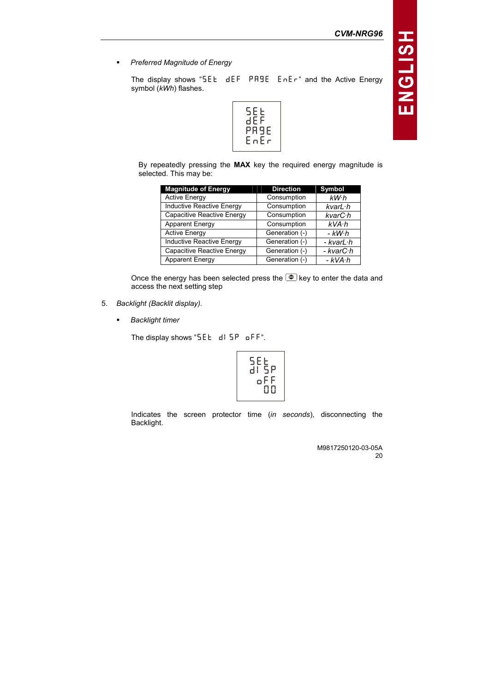-Preferred Magnitude of Energy

> The display shows " $5E E$  dEF PR9E  $E \cap E \cap T$  and the Active Energy symbol (kWh) flashes.



By repeatedly pressing the MAX key the required energy magnitude is selected. This may be:

| <b>Magnitude of Energy</b>        | <b>Direction</b> | Symbol          |
|-----------------------------------|------------------|-----------------|
| <b>Active Energy</b>              | Consumption      | kW·h            |
| Inductive Reactive Energy         | Consumption      | $kvarL \cdot h$ |
| <b>Capacitive Reactive Energy</b> | Consumption      | kvarC·h         |
| <b>Apparent Energy</b>            | Consumption      | kVA·h           |
| <b>Active Energy</b>              | Generation (-)   | - kW·h          |
| Inductive Reactive Energy         | Generation (-)   | - kvarL·h       |
| <b>Capacitive Reactive Energy</b> | Generation (-)   | - kvarC·h       |
| <b>Apparent Energy</b>            | Generation (-)   | $-kVA·h$        |

Once the energy has been selected press the  $\blacktriangleright$  key to enter the data and access the next setting step

- 5. Backlight (Backlit display).
	- -Backlight timer

The display shows " $5EE$  d!  $5P$  of F".

$$
\begin{array}{c} \text{Lip} \\ \text{Lip} \\ \text{Lip} \\ \text{Lip} \\ \text{Lip} \\ \text{Lip} \\ \text{Lip} \\ \text{Lip} \\ \text{Lip} \\ \text{Lip} \\ \text{Lip} \\ \text{Lip} \\ \text{Lip} \\ \text{Lip} \\ \text{Lip} \\ \text{Lip} \\ \text{Lip} \\ \text{Lip} \\ \text{Lip} \\ \text{Lip} \\ \text{Lip} \\ \text{Lip} \\ \text{Lip} \\ \text{Lip} \\ \text{Lip} \\ \text{Lip} \\ \text{Lip} \\ \text{Lip} \\ \text{Lip} \\ \text{Lip} \\ \text{Lip} \\ \text{Lip} \\ \text{Lip} \\ \text{Lip} \\ \text{Lip} \\ \text{Lip} \\ \text{Lip} \\ \text{Lip} \\ \text{Lip} \\ \text{Lip} \\ \text{Lip} \\ \text{Lip} \\ \text{Lip} \\ \text{Lip} \\ \text{Lip} \\ \text{Lip} \\ \text{Lip} \\ \text{Lip} \\ \text{Lip} \\ \text{Lip} \\ \text{Lip} \\ \text{Lip} \\ \text{Lip} \\ \text{Lip} \\ \text{Lip} \\ \text{Lip} \\ \text{Lip} \\ \text{Lip} \\ \text{Lip} \\ \text{Lip} \\ \text{Lip} \\ \text{Lip} \\ \text{Lip} \\ \text{Lip} \\ \text{Lip} \\ \text{Lip} \\ \text{Lip} \\ \text{Lip} \\ \text{Lip} \\ \text{Lip} \\ \text{Lip} \\ \text{Lip} \\ \text{Lip} \\ \text{Lip} \\ \text{Lip} \\ \text{Lip} \\ \text{Lip} \\ \text{Lip} \\ \text{Lip} \\ \text{Lip} \\ \text{Lip} \\ \text{Lip} \\ \text{Lip} \\ \text{Lip} \\ \text{Lip} \\ \text{Lip} \\ \text{Lip} \\ \text{Lip} \\ \text{Lip} \\ \text{Lip} \\ \text{Lip} \\ \text{Lip} \\ \text{Lip} \\ \text{Lip} \\ \text{Lip} \\ \text{Lip} \\ \text{Lip} \\ \text{Lip} \\ \text{Lip} \\ \text{Lip} \\ \text{Lip} \\ \text{Lip} \\ \text{Lip} \\ \text{Lip} \\ \text{Lip} \\ \text{Lip} \\ \text{Lip} \\ \text{L
$$

Indicates the screen protector time (in seconds), disconnecting the Backlight.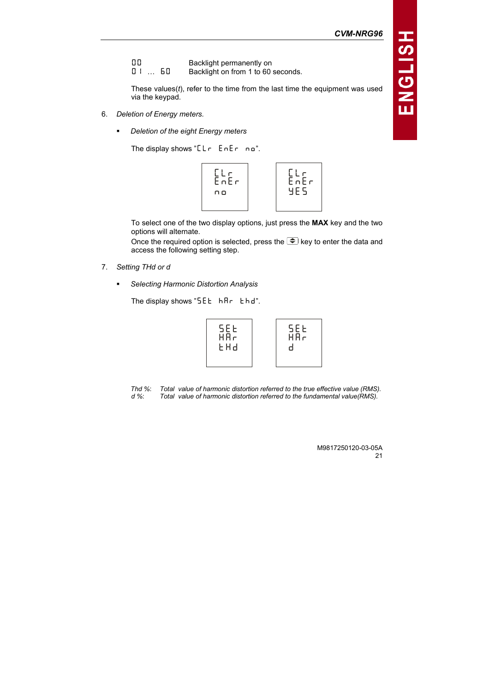- **DD** Backlight permanently on<br>**DI** ... **60** Backlight on from 1 to 60
- Backlight on from 1 to 60 seconds.

These values $(t)$ , refer to the time from the last time the equipment was used via the keypad.

- 6. Deletion of Energy meters.
	- -Deletion of the eight Energy meters

The display shows " $L_1$   $F_2$   $F_3$   $F_4$   $F_5$   $F_6$   $F_7$   $F_8$   $F_9$ 



To select one of the two display options, just press the MAX key and the two options will alternate.

Once the required option is selected, press the  $\widehat{\mathcal{F}}$  key to enter the data and access the following setting step.

- 7. Setting THd or d
	- -Selecting Harmonic Distortion Analysis

The display shows " $5EE$   $hRr$   $Ehd$ .

{m\_n {B[l {nB^ {m\_n {B[l {^

Thd %: Total value of harmonic distortion referred to the true effective value (RMS).<br>d %: Total value of harmonic distortion referred to the fundamental value(RMS). Total value of harmonic distortion referred to the fundamental value $(RMS)$ .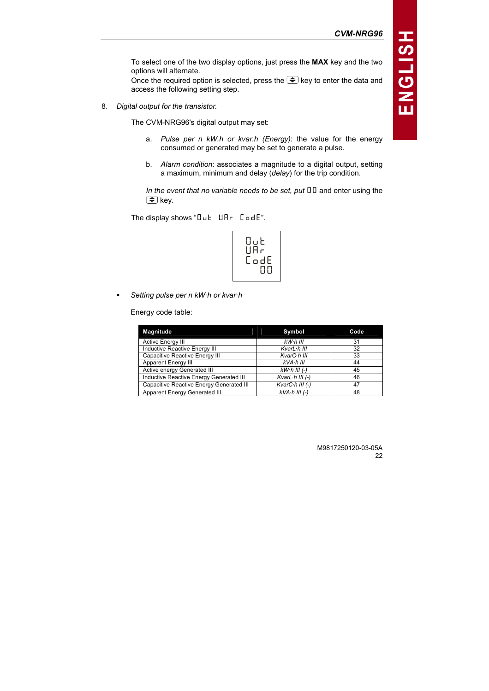To select one of the two display options, just press the MAX key and the two options will alternate.

Once the required option is selected, press the  $\Rightarrow$  key to enter the data and access the following setting step.

8. Digital output for the transistor.

The CVM-NRG96's digital output may set:

- a. Pulse per n kW.h or kvar.h (Energy): the value for the energy consumed or generated may be set to generate a pulse.
- b. Alarm condition: associates a magnitude to a digital output, setting a maximum, minimum and delay (delay) for the trip condition.

In the event that no variable needs to be set, put  $II$  and enter using the  $\bigcirc$  key.

The display shows " $D \cup E$   $U \cap F$   $C \cup dE$ ".

$$
\left[\begin{array}{c}0\\0\\0\\0\\0\end{array}\right]
$$

-Setting pulse per n kW·h or kvar·h

Energy code table:

| <b>Magnitude</b>                         | Symbol                   | Code |
|------------------------------------------|--------------------------|------|
| <b>Active Energy III</b>                 | $kW0$ III                | 31   |
| Inductive Reactive Energy III            | KvarL·h III              | 32   |
| Capacitive Reactive Energy III           | KvarC·h III              | 33   |
| Apparent Energy III                      | kVA·h III                | 44   |
| Active energy Generated III              | $kW·h III (-)$           | 45   |
| Inductive Reactive Energy Generated III  | KvarL $\cdot$ h III (-)  | 46   |
| Capacitive Reactive Energy Generated III | Kvar $C \cdot h$ III (-) | 47   |
| <b>Apparent Energy Generated III</b>     | $kVA·h III (-)$          | 48   |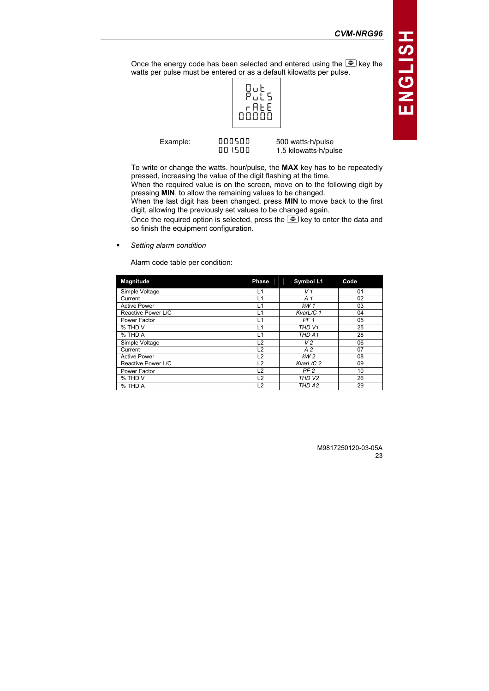Once the energy code has been selected and entered using the  $\widehat{\mathcal{F}}$  key the watts per pulse must be entered or as a default kilowatts per pulse.



|          | 00000              |                                            |  |
|----------|--------------------|--------------------------------------------|--|
| Example: | nnnsnn<br>חח זו חח | 500 watts h/pulse<br>1.5 kilowatts h/pulse |  |

To write or change the watts. hour/pulse, the MAX key has to be repeatedly pressed, increasing the value of the digit flashing at the time.

When the required value is on the screen, move on to the following digit by pressing MIN, to allow the remaining values to be changed.

When the last digit has been changed, press MIN to move back to the first digit, allowing the previously set values to be changed again.

Once the required option is selected, press the  $\widehat{\mathbb{C}}$  key to enter the data and so finish the equipment configuration.

-Setting alarm condition

Alarm code table per condition:

| <b>Magnitude</b>    | <b>Phase</b>   | Symbol L1         | Code |
|---------------------|----------------|-------------------|------|
| Simple Voltage      | L1             | V <sub>1</sub>    | 01   |
| Current             | L1             | A <sub>1</sub>    | 02   |
| <b>Active Power</b> | L1             | kW 1              | 03   |
| Reactive Power L/C  | L1             | KvarL/C 1         | 04   |
| Power Factor        | L1             | PF <sub>1</sub>   | 05   |
| % THD V             | L1             | THD V1            | 25   |
| % THD A             | L1             | THD A1            | 28   |
| Simple Voltage      | L2             | V <sub>2</sub>    | 06   |
| Current             | L <sub>2</sub> | A <sub>2</sub>    | 07   |
| <b>Active Power</b> | L <sub>2</sub> | kW <sub>2</sub>   | 08   |
| Reactive Power L/C  | L <sub>2</sub> | KvarL/C 2         | 09   |
| Power Factor        | L <sub>2</sub> | PF <sub>2</sub>   | 10   |
| % THD V             | L <sub>2</sub> | THD <sub>V2</sub> | 26   |
| % THD A             | L <sub>2</sub> | THD A2            | 29   |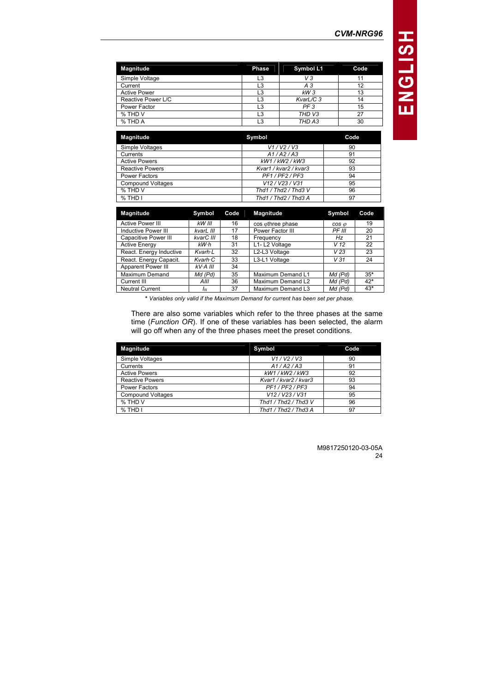| <b>Magnitude</b>    | Phase | Symbol L1         | Code |
|---------------------|-------|-------------------|------|
| Simple Voltage      | L3    | VЗ                |      |
| Current             | L3    | A 3               |      |
| <b>Active Power</b> | L3    | $kW_3$            |      |
| Reactive Power L/C  | L3    | KvarL/C 3         | 14   |
| Power Factor        | L3    | PF <sub>3</sub>   | 15   |
| % THD V             | L3    | THD <sub>V3</sub> | 27   |
| % THD A             | L3    | THD A3            | 30   |

| <b>Magnitude</b>         | Symbol                | Code |
|--------------------------|-----------------------|------|
| Simple Voltages          | V1/V2/V3              | 90   |
| Currents                 | A1/A2/A3              | 91   |
| <b>Active Powers</b>     | kW1/kW2/kW3           | 92   |
| <b>Reactive Powers</b>   | Kvar1 / kvar2 / kvar3 | 93   |
| <b>Power Factors</b>     | PF1/PF2/PF3           | 94   |
| <b>Compound Voltages</b> | V12 / V23 / V31       | 95   |
| % THD V                  | Thd1 / Thd2 / Thd3 V  | 96   |
| % THD I                  | Thd1 / Thd2 / Thd3 A  | 97   |

| <b>Magnitude</b>        | Symbol          | Code | <b>Magnitude</b>  | Symbol          | Code  |
|-------------------------|-----------------|------|-------------------|-----------------|-------|
| <b>Active Power III</b> | kW III          | 16   | cos othree phase  | $cos \varphi$   | 19    |
| Inductive Power III     | kvarL III       | 17   | Power Factor III  | PF III          | 20    |
| Capacitive Power III    | kvarC III       | 18   | Frequency         | Hz              | 21    |
| <b>Active Energy</b>    | kW·h            | 31   | L1-L2 Voltage     | V 12            | 22    |
| React. Energy Inductive | Kvarh L         | 32   | L2-L3 Voltage     | V <sub>23</sub> | 23    |
| React. Energy Capacit.  | $Kvarh \cdot C$ | 33   | L3-L1 Voltage     | V31             | 24    |
| Apparent Power III      | $kV$ -A III     | 34   |                   |                 |       |
| <b>Maximum Demand</b>   | Md (Pd)         | 35   | Maximum Demand L1 | Md (Pd)         | $35*$ |
| Current III             | AIII            | 36   | Maximum Demand L2 | Md (Pd)         | $42*$ |
| <b>Neutral Current</b>  | IΝ              | 37   | Maximum Demand L3 | Md (Pd)         | $43*$ |

\* Variables only valid if the Maximum Demand for current has been set per phase.

There are also some variables which refer to the three phases at the same time (Function OR). If one of these variables has been selected, the alarm will go off when any of the three phases meet the preset conditions.

| <b>Magnitude</b>         | Symbol                | Code |
|--------------------------|-----------------------|------|
| Simple Voltages          | V1/V2/V3              | 90   |
| Currents                 | A1/A2/A3              | 91   |
| <b>Active Powers</b>     | kW1/kW2/kW3           | 92   |
| <b>Reactive Powers</b>   | Kvar1 / kvar2 / kvar3 | 93   |
| <b>Power Factors</b>     | PF1/PF2/PF3           | 94   |
| <b>Compound Voltages</b> | V12/V23/V31           | 95   |
| % THD V                  | Thd1 / Thd2 / Thd3 V  | 96   |
| $%$ THD I                | Thd1 / Thd2 / Thd3 A  | 97   |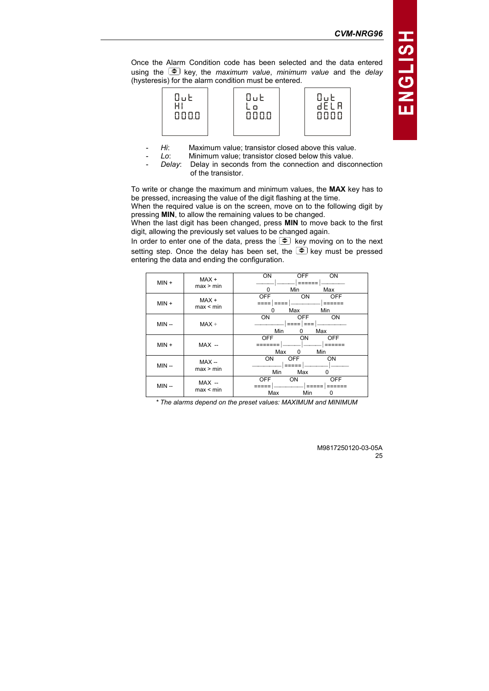



- Hi: Maximum value; transistor closed above this value.
- Lo: Minimum value; transistor closed below this value.
- Delay: Delay in seconds from the connection and disconnection of the transistor.

To write or change the maximum and minimum values, the MAX key has to be pressed, increasing the value of the digit flashing at the time.

When the required value is on the screen, move on to the following digit by pressing MIN, to allow the remaining values to be changed.

When the last digit has been changed, press MIN to move back to the first digit, allowing the previously set values to be changed again.

In order to enter one of the data, press the  $\Rightarrow$  key moving on to the next setting step. Once the delay has been set, the  $\Rightarrow$  key must be pressed entering the data and ending the configuration.

| $MIN +$ | MAX+<br>max > min    | ON<br>ON<br><b>OFF</b><br>=====<br>Min<br>Max<br><sup>0</sup>             |
|---------|----------------------|---------------------------------------------------------------------------|
| $MIN +$ | MAX+<br>max < min    | <b>OFF</b><br><b>OFF</b><br>ON<br>====   ====<br>=====<br>Max<br>Min<br>n |
| $MIN -$ | $MAX +$              | ON<br>ON<br><b>OFF</b><br>Min<br>Max<br>0                                 |
| $MIN +$ | $MAX -$              | <b>OFF</b><br>ON<br>OFF<br>=======<br>=====<br>Max<br>Min<br>$\Omega$     |
| $MIN -$ | $MAX -$<br>max > min | ON<br><b>OFF</b><br>ON<br>=====<br>Min<br>Max<br>0                        |
| $MIN -$ | $MAX -$<br>max < min | <b>OFF</b><br><b>OFF</b><br><b>ON</b><br>Max<br>Min<br>0                  |

\* The alarms depend on the preset values: MAXIMUM and MINIMUM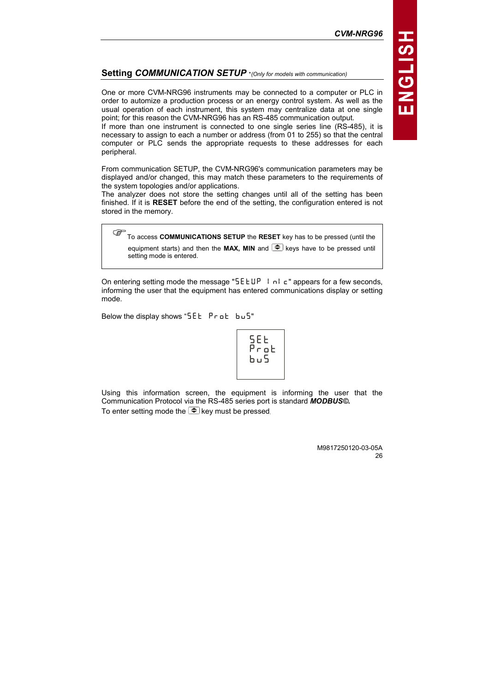# Setting COMMUNICATION SETUP \*(Only for models with communication)

One or more CVM-NRG96 instruments may be connected to a computer or PLC in order to automize a production process or an energy control system. As well as the usual operation of each instrument, this system may centralize data at one single point; for this reason the CVM-NRG96 has an RS-485 communication output.

If more than one instrument is connected to one single series line (RS-485), it is necessary to assign to each a number or address (from 01 to 255) so that the central computer or PLC sends the appropriate requests to these addresses for each peripheral.

From communication SETUP, the CVM-NRG96's communication parameters may be displayed and/or changed, this may match these parameters to the requirements of the system topologies and/or applications.

The analyzer does not store the setting changes until all of the setting has been finished. If it is RESET before the end of the setting, the configuration entered is not stored in the memory.

To access COMMUNICATIONS SETUP the RESET key has to be pressed (until the equipment starts) and then the **MAX. MIN** and  $\blacktriangleright$  keys have to be pressed until setting mode is entered.

On entering setting mode the message "SEEUP InIc" appears for a few seconds, informing the user that the equipment has entered communications display or setting mode.

Below the display shows "SEE  $Pr_{\text{o}}$  bus"

{M\_n {Jlin {\om

Using this information screen, the equipment is informing the user that the Communication Protocol via the RS-485 series port is standard MODBUS©. To enter setting mode the  $\blacktriangleright$  key must be pressed.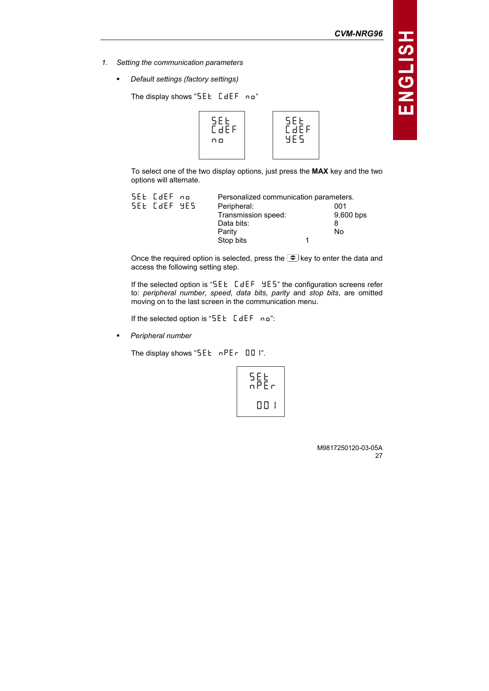- 1. Setting the communication parameters
	- Default settings (factory settings)

```
The display shows "SEE C = C - n"
```


To select one of the two display options, just press the MAX key and the two options will alternate.

| SEL [dEF no  | Personalized communication parameters. |             |
|--------------|----------------------------------------|-------------|
| SEL CJEF YES | Peripheral:                            | 001         |
|              | Transmission speed:                    | $9,600$ bps |
|              | Data bits:                             |             |
|              | Parity                                 | No.         |
|              | Stop bits                              |             |

Once the required option is selected, press the  $\Rightarrow$  key to enter the data and access the following setting step.

If the selected option is " $5EE$   $E dEF$   $9E5$ " the configuration screens refer to: peripheral number, speed, data bits, parity and stop bits, are omitted moving on to the last screen in the communication menu.

If the selected option is "SEE  $E$  dEF no":

-Peripheral number

The display shows " $5EE \nrightarrow PE - 001$ ".

$$
\begin{array}{c}\n 5EE \\
nPEr \\
001\n\end{array}
$$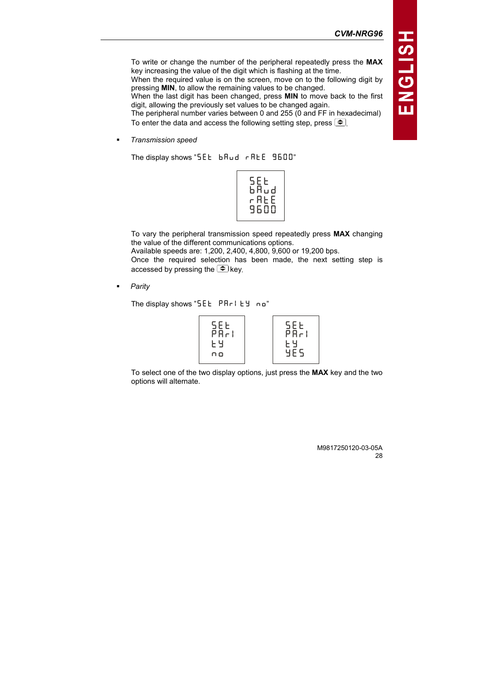To write or change the number of the peripheral repeatedly press the MAX key increasing the value of the digit which is flashing at the time. When the required value is on the screen, move on to the following digit by

pressing MIN, to allow the remaining values to be changed.

When the last digit has been changed, press MIN to move back to the first digit, allowing the previously set values to be changed again.

The peripheral number varies between 0 and 255 (0 and FF in hexadecimal) To enter the data and access the following setting step, press  $\blacktriangleright$ .

-Transmission speed

The display shows "SEE  $b$  A $u$ d  $r$  ALE 9600"

| SEE<br>bAud<br>r AL E |  |
|-----------------------|--|
| 9600                  |  |

To vary the peripheral transmission speed repeatedly press MAX changing the value of the different communications options. Available speeds are: 1,200, 2,400, 4,800, 9,600 or 19,200 bps. Once the required selection has been made, the next setting step is accessed by pressing the  $\Rightarrow$  key.

**Parity** 

-

The display shows "SEE PRri EY  $no$ "

To select one of the two display options, just press the MAX key and the two options will alternate.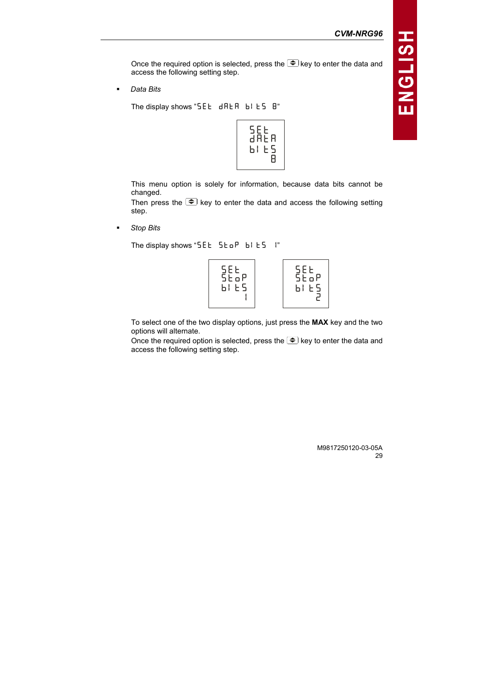Once the required option is selected, press the  $\widehat{\mathcal{F}}$  key to enter the data and access the following setting step.

-Data Bits

```
The display shows "5EE dRER b1E5 B"
```


This menu option is solely for information, because data bits cannot be changed.

Then press the  $\bigcirc$  key to enter the data and access the following setting step.

-Stop Bits

The display shows " $5EE$   $5E$   $F$   $b$ !  $E$   $F$   $i$ "



To select one of the two display options, just press the MAX key and the two options will alternate.

Once the required option is selected, press the  $\Rightarrow$  key to enter the data and access the following setting step.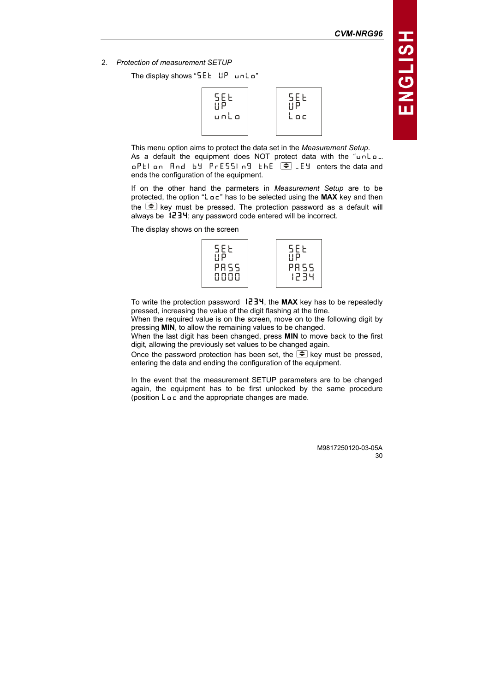2. Protection of measurement SETUP

The display shows " $5EE$  UP unlo"



This menu option aims to protect the data set in the Measurement Setup. As a default the equipment does NOT protect data with the "unLo.  $aP$ El on  $A$ nd by  $P$ rESSIng EhE  $\bigodot$  Ey enters the data and ends the configuration of the equipment.

If on the other hand the parmeters in Measurement Setup are to be protected, the option "L  $\rho c$ " has to be selected using the MAX key and then the  $\blacktriangleright$  key must be pressed. The protection password as a default will always be  $1234$ ; any password code entered will be incorrect.

The display shows on the screen



To write the protection password  $+234$ , the MAX key has to be repeatedly pressed, increasing the value of the digit flashing at the time.

When the required value is on the screen, move on to the following digit by pressing MIN, to allow the remaining values to be changed.

When the last digit has been changed, press MIN to move back to the first digit, allowing the previously set values to be changed again.

Once the password protection has been set, the  $\Rightarrow$  key must be pressed, entering the data and ending the configuration of the equipment.

In the event that the measurement SETUP parameters are to be changed again, the equipment has to be first unlocked by the same procedure (position  $L \circ c$  and the appropriate changes are made.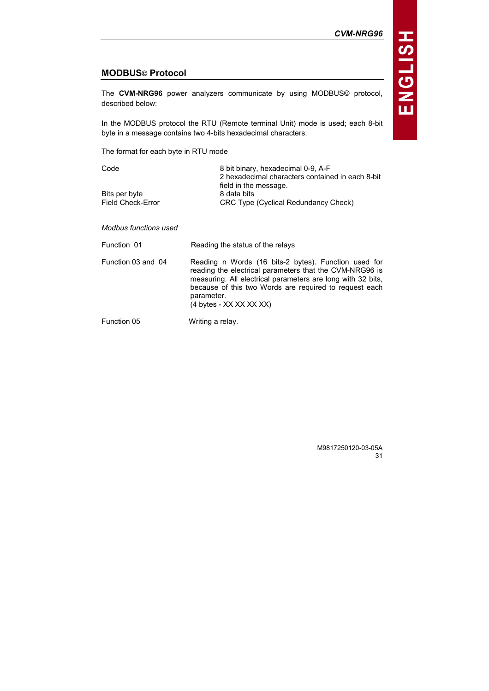# MODBUS© Protocol

The CVM-NRG96 power analyzers communicate by using MODBUS© protocol, described below:

In the MODBUS protocol the RTU (Remote terminal Unit) mode is used; each 8-bit byte in a message contains two 4-bits hexadecimal characters.

The format for each byte in RTU mode

| Code                     | 8 bit binary, hexadecimal 0-9, A-F               |
|--------------------------|--------------------------------------------------|
|                          | 2 hexadecimal characters contained in each 8-bit |
|                          | field in the message.                            |
| Bits per byte            | 8 data bits                                      |
| <b>Field Check-Error</b> | CRC Type (Cyclical Redundancy Check)             |

Modbus functions used

| Reading the status of the relays |
|----------------------------------|
|----------------------------------|

Function 03 and 04 Reading n Words (16 bits-2 bytes). Function used for reading the electrical parameters that the CVM-NRG96 is measuring. All electrical parameters are long with 32 bits, because of this two Words are required to request each parameter. (4 bytes - XX XX XX XX)

Function 05 Writing a relay.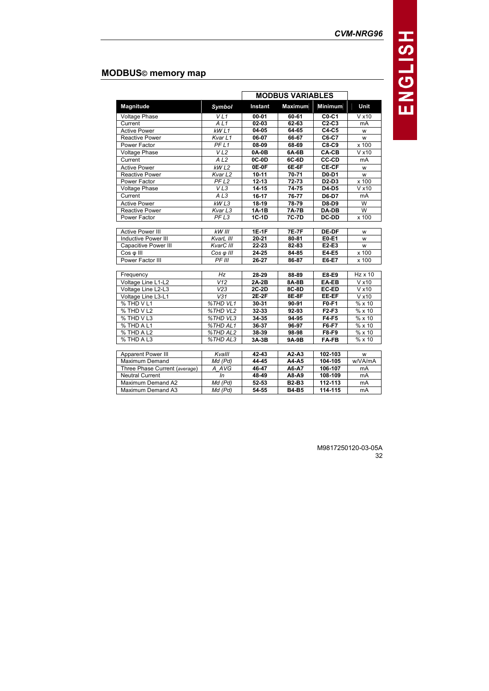# MODBUS© memory map

|                               |                    | <b>MODBUS VARIABLES</b> |                    |              |                           |
|-------------------------------|--------------------|-------------------------|--------------------|--------------|---------------------------|
| Magnitude                     | <b>Symbol</b>      | Instant                 | <b>Maximum</b>     | Minimum      | Unit                      |
| <b>Voltage Phase</b>          | VLI                | $00 - 01$               | $60 - 61$          | $CO-C1$      | V x 10                    |
| Current                       | AL1                | $02 - 03$               | $62 - 63$          | $C2-C3$      | mA                        |
| <b>Active Power</b>           | kWL1               | $04 - 05$               | $64 - 65$          | $C4-C5$      | w                         |
| <b>Reactive Power</b>         | Kvar L1            | 06-07                   | 66-67              | C6-C7        | W                         |
| Power Factor                  | PFL1               | 08-09                   | 68-69              | C8-C9        | x 100                     |
| <b>Voltage Phase</b>          | VL2                | 0A-0B                   | 6A-6B              | CA-CB        | V x 10                    |
| Current                       | A <sub>L2</sub>    | 0C-0D                   | 6C-6D              | <b>CC-CD</b> | mA                        |
| <b>Active Power</b>           | kWL2               | $0E-0F$                 | $6E-6F$            | CE-CF        | W                         |
| <b>Reactive Power</b>         | Kvar <sub>L2</sub> | $10 - 11$               | $70 - 71$          | D0-D1        | w                         |
| Power Factor                  | PFL2               | $12 - 13$               | $72 - 73$          | $D2-D3$      | x 100                     |
| <b>Voltage Phase</b>          | VL3                | $14 - 15$               | 74-75              | D4-D5        | V x 10                    |
| Current                       | A <sub>L3</sub>    | $16 - 17$               | 76-77              | D6-D7        | mA                        |
| <b>Active Power</b>           | kWL3               | $18-19$                 | $78 - 79$          | <b>D8-D9</b> | $\overline{W}$            |
| <b>Reactive Power</b>         | Kvar <sub>L3</sub> | $1A-1B$                 | $7A-7B$            | $DA-DB$      | $\overline{\mathsf{w}}$   |
| Power Factor                  | PFL3               | $1C-1D$                 | 7C-7D              | DC-DD        | x 100                     |
|                               |                    |                         |                    |              |                           |
| <b>Active Power III</b>       | <b>KW III</b>      | $1E-1F$                 | $7E-7F$            | <b>DE-DF</b> | W                         |
| <b>Inductive Power III</b>    | KvarL III          | $20 - 21$               | 80-81              | E0-E1        | W                         |
| <b>Capacitive Power III</b>   | KvarC III          | $22 - 23$               | $82 - 83$          | $E2-E3$      | W                         |
| Cos φ III                     | $Cos \varphi$ III  | $24 - 25$               | 84-85              | E4-E5        | x 100                     |
| Power Factor III              | PFIII              | $26-27$                 | 86-87              | E6-E7        | x 100                     |
|                               |                    |                         |                    |              |                           |
| Frequency                     | Hz                 | 28-29                   | 88-89              | $E8-E9$      | $Hz \times 10$            |
| Voltage Line L1-L2            | V12                | $2A-2B$                 | $8A-8B$            | EA-EB        | V x 10                    |
| Voltage Line L2-L3            | V <sub>23</sub>    | $2C-2D$                 | $8C-8D$            | EC-ED        | V x 10                    |
| Voltage Line L3-L1            | V31                | $2E-2F$                 | $8E-8F$            | EE-EF        | V x 10                    |
| % THD V L1                    | %THD VL1           | 30-31                   | 90-91              | $F0-F1$      | $\sqrt{\frac{9}{6}}$ x 10 |
| % THD V L2                    | %THD VL2           | 32-33                   | 92-93              | $F2-F3$      | % x10                     |
| % THD VL3                     | %THD VL3           | 34-35                   | 94-95              | $F4-F5$      | % x 10                    |
| % THD A L1                    | %THD AL1           | $36 - 37$               | 96-97              | $F6-F7$      | % x10                     |
| % THD A L2                    | %THDAL2            | $38 - 39$               | $98 - 98$          | $F8-F9$      | $\frac{1}{6}$ x 10        |
| % THD A L3                    | %THD AL3           | 3A-3B                   | 9A-9B              | <b>FA-FB</b> | %x10                      |
|                               |                    |                         |                    |              |                           |
| Apparent Power III            | Kvalll             | 42-43                   | $\overline{A2-A3}$ | $102 - 103$  | w                         |
| Maximum Demand                | $Md$ ( $Pd$ )      | $44 - 45$               | A4-A5              | 104-105      | w/VA/mA                   |
| Three Phase Current (average) | A AVG              | 46-47                   | A6-A7              | 106-107      | mA                        |
| <b>Neutral Current</b>        | ln                 | 48-49                   | A8-A9              | 108-109      | mA                        |
| Maximum Demand A2             | $Md$ ( $Pd$ )      | $52 - 53$               | $B2-B3$            | $112 - 113$  | <b>mA</b>                 |
| Maximum Demand A3             | Md (Pd)            | 54-55                   | <b>B4-B5</b>       | 114-115      | mA                        |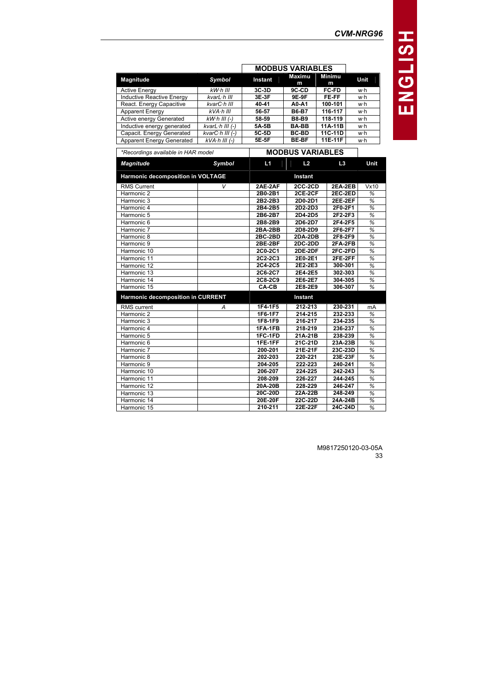|                                  |                           |         | <b>MODBUS VARIABLES</b> |              |      |
|----------------------------------|---------------------------|---------|-------------------------|--------------|------|
| Magnitude                        | Symbol                    | Instant | Maximu<br>m             | Minimu<br>m  | Unit |
| Active Energy                    | kW·h III                  | $3C-3D$ | 9C-CD                   | <b>FC-FD</b> | w∙h  |
| <b>Inductive Reactive Energy</b> | kvarL·h III               | 3E-3F   | 9E-9F                   | FE-FF        | w∙h  |
| React. Energy Capacitive         | kvarC·h III               | 40-41   | A0-A1                   | 100-101      | w∙h  |
| Apparent Energy                  | kVA·h III                 | 56-57   | <b>B6-B7</b>            | 116-117      | wh   |
| Active energy Generated          | $kW\cdot h$ III (-)       | 58-59   | <b>B8-B9</b>            | 118-119      | w∙h  |
| Inductive energy generated       | $kvarL \cdot h$ III $(-)$ | 5A-5B   | <b>BA-BB</b>            | 11A-11B      | w∙h  |
|                                  |                           |         |                         |              |      |

| −      |
|--------|
|        |
| r<br>J |
|        |
| П      |
|        |
|        |

œ

| Active energy Generated                  | $kW·h III (-)$                | 58-59     | <b>B8-B9</b>            | 118-119        | w∙h         |
|------------------------------------------|-------------------------------|-----------|-------------------------|----------------|-------------|
| Inductive energy generated               | kvarL $\cdot$ h III $(-)$     | 5A-5B     | <b>BA-BB</b>            | $11A-11B$      | w∙h         |
| Capacit. Energy Generated                | $\overline{kvarC}$ ·h III (-) | 5C-5D     | <b>BC-BD</b>            | 11C-11D        | w∙h         |
| <b>Apparent Energy Generated</b>         | $kVA·h III (-)$               | 5E-5F     | <b>BE-BF</b>            | 11E-11F        | w∙h         |
| *Recordings available in HAR model       |                               |           | <b>MODBUS VARIABLES</b> |                |             |
| <b>Magnitude</b>                         | Symbol                        | L1        | L2                      | L <sub>3</sub> | <b>Unit</b> |
| Harmonic decomposition in VOLTAGE        |                               |           | Instant                 |                |             |
| <b>RMS Current</b>                       | V                             | 2AE-2AF   | <b>2CC-2CD</b>          | 2EA-2EB        | Vx10        |
| Harmonic 2                               |                               | 2B0-2B1   | 2CE-2CF                 | $2EC-2ED$      | %           |
| Harmonic 3                               |                               | 2B2-2B3   | 2D0-2D1                 | 2EE-2EF        | %           |
| Harmonic 4                               |                               | 2B4-2B5   | 2D2-2D3                 | 2F0-2F1        | %           |
| Harmonic 5                               |                               | 2B6-2B7   | 2D4-2D5                 | 2F2-2F3        | %           |
| Harmonic 6                               |                               | 2B8-2B9   | 2D6-2D7                 | 2F4-2F5        | %           |
| Harmonic 7                               |                               | $2BA-2BB$ | 2D8-2D9                 | 2F6-2F7        | %           |
| Harmonic 8                               |                               | 2BC-2BD   | $2DA-2DB$               | 2F8-2F9        | %           |
| Harmonic 9                               |                               | 2BE-2BF   | 2DC-2DD                 | 2FA-2FB        | %           |
| Harmonic 10                              |                               | 2C0-2C1   | <b>2DE-2DF</b>          | $2FC-2FD$      | %           |
| Harmonic 11                              |                               | 2C2-2C3   | 2E0-2E1                 | 2FE-2FF        | %           |
| Harmonic 12                              |                               | 2C4-2C5   | 2E2-2E3                 | 300-301        | %           |
| Harmonic 13                              |                               | 2C6-2C7   | 2E4-2E5                 | 302-303        | %           |
| Harmonic 14                              |                               | 2C8-2C9   | 2E6-2E7                 | 304-305        | %           |
| Harmonic 15                              |                               | CA-CB     | 2E8-2E9                 | 306-307        | %           |
| <b>Harmonic decomposition in CURRENT</b> |                               |           | Instant                 |                |             |
| <b>RMS</b> current                       | А                             | 1F4-1F5   | 212-213                 | 230-231        | mA          |
| Harmonic 2                               |                               | 1F6-1F7   | 214-215                 | 232-233        | %           |
| Harmonic 3                               |                               | 1F8-1F9   | 216-217                 | 234-235        | %           |
| Harmonic 4                               |                               | 1FA-1FB   | 218-219                 | 236-237        | %           |
| Harmonic 5                               |                               | 1FC-1FD   | 21A-21B                 | 238-239        | %           |
| Harmonic 6                               |                               | 1FE-1FF   | 21C-21D                 | 23A-23B        | %           |
| Harmonic 7                               |                               | 200-201   | 21E-21F                 | 23C-23D        | %           |
| Harmonic 8                               |                               | 202-203   | 220-221                 | 23E-23F        | %           |
| Harmonic 9                               |                               | 204-205   | 222-223                 | 240-241        | %           |
| Harmonic 10                              |                               | 206-207   | 224-225                 | 242-243        | %           |
| Harmonic 11                              |                               | 208-209   | 226-227                 | 244-245        | %           |
| Harmonic 12                              |                               | 20A-20B   | 228-229                 | 246-247        | %           |
| Harmonic 13                              |                               | 20C-20D   | 22A-22B                 | 248-249        | %           |
| Harmonic 14                              |                               | 20E-20F   | 22C-22D                 | 24A-24B        | %           |
| Harmonic 15                              |                               | 210-211   | 22E-22F                 | 24C-24D        | %           |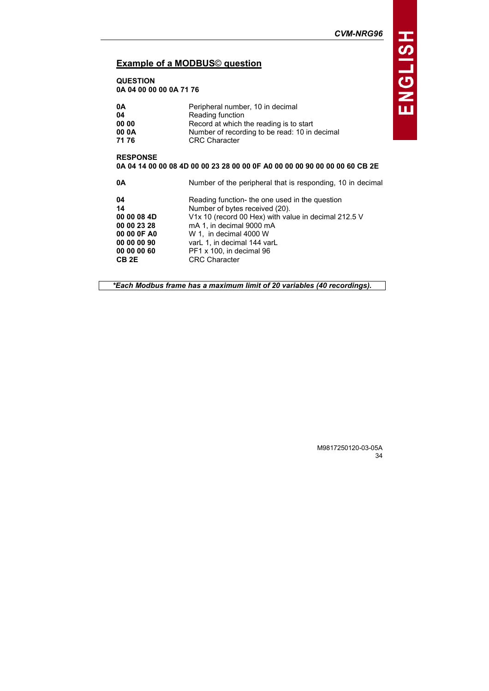# Example of a MODBUS© question

QUESTION 0A 04 00 00 00 0A 71 76

| 0A                                                                                            | Peripheral number, 10 in decimal                           |  |  |  |
|-----------------------------------------------------------------------------------------------|------------------------------------------------------------|--|--|--|
| 04                                                                                            | Reading function                                           |  |  |  |
| 00 00                                                                                         | Record at which the reading is to start                    |  |  |  |
| 00 0A                                                                                         | Number of recording to be read: 10 in decimal              |  |  |  |
| 7176                                                                                          | <b>CRC</b> Character                                       |  |  |  |
| <b>RESPONSE</b><br>0A 04 14 00 00 08 4D 00 00 23 28 00 00 0F A0 00 00 00 90 00 00 00 60 CB 2E |                                                            |  |  |  |
| 0A                                                                                            | Number of the peripheral that is responding, 10 in decimal |  |  |  |
| 04                                                                                            | Reading function- the one used in the question             |  |  |  |
| 14                                                                                            | Number of bytes received (20).                             |  |  |  |
| 00 00 08 4D                                                                                   | V1x 10 (record 00 Hex) with value in decimal 212.5 V       |  |  |  |
| 00 00 23 28                                                                                   | mA 1, in decimal 9000 mA                                   |  |  |  |
| 00 00 0F A0                                                                                   | W 1, in decimal 4000 W                                     |  |  |  |
| 00 00 00 90                                                                                   | varL 1, in decimal 144 varL                                |  |  |  |
| 00 00 00 60                                                                                   | PF1 x 100, in decimal 96                                   |  |  |  |
| CB <sub>2E</sub>                                                                              | <b>CRC</b> Character                                       |  |  |  |

\*Each Modbus frame has a maximum limit of 20 variables (40 recordings).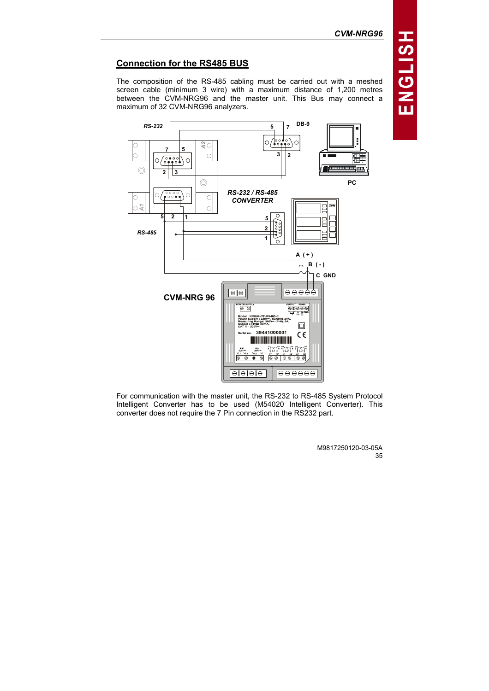# Connection for the RS485 BUS

The composition of the RS-485 cabling must be carried out with a meshed screen cable (minimum 3 wire) with a maximum distance of 1,200 metres between the CVM-NRG96 and the master unit. This Bus may connect a maximum of 32 CVM-NRG96 analyzers.



For communication with the master unit, the RS-232 to RS-485 System Protocol Intelligent Converter has to be used (M54020 Intelligent Converter). This converter does not require the 7 Pin connection in the RS232 part.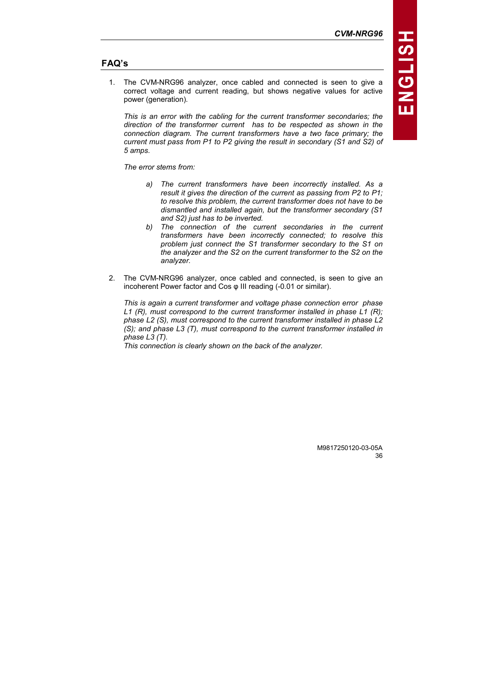# FAQ's

1. The CVM-NRG96 analyzer, once cabled and connected is seen to give a correct voltage and current reading, but shows negative values for active power (generation).

This is an error with the cabling for the current transformer secondaries; the direction of the transformer current has to be respected as shown in the connection diagram. The current transformers have a two face primary; the current must pass from P1 to P2 giving the result in secondary (S1 and S2) of 5 amps.

The error stems from:

- a) The current transformers have been incorrectly installed. As a result it gives the direction of the current as passing from P2 to P1; to resolve this problem, the current transformer does not have to be dismantled and installed again, but the transformer secondary (S1 and S2) just has to be inverted.
- b) The connection of the current secondaries in the current transformers have been incorrectly connected; to resolve this problem just connect the S1 transformer secondary to the S1 on the analyzer and the S2 on the current transformer to the S2 on the analyzer.
- 2. The CVM-NRG96 analyzer, once cabled and connected, is seen to give an incoherent Power factor and Cos φ III reading (-0.01 or similar).

This is again a current transformer and voltage phase connection error phase L1 (R), must correspond to the current transformer installed in phase L1 (R); phase L2 (S), must correspond to the current transformer installed in phase L2 (S); and phase L3 (T), must correspond to the current transformer installed in phase L3 (T).

This connection is clearly shown on the back of the analyzer.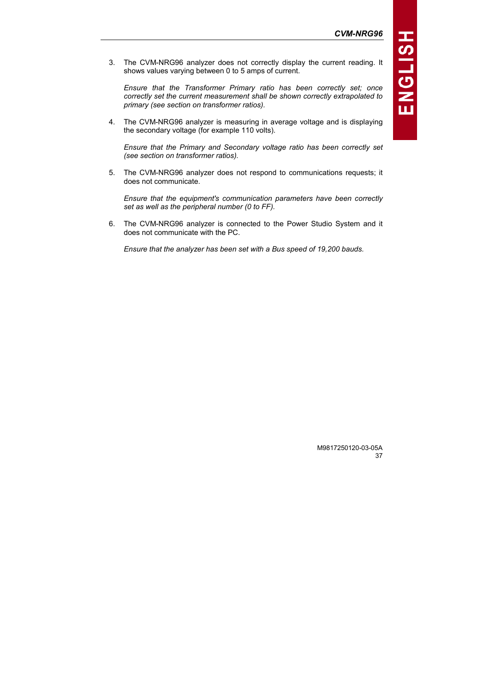3. The CVM-NRG96 analyzer does not correctly display the current reading. It shows values varying between 0 to 5 amps of current.

Ensure that the Transformer Primary ratio has been correctly set; once correctly set the current measurement shall be shown correctly extrapolated to primary (see section on transformer ratios).

4. The CVM-NRG96 analyzer is measuring in average voltage and is displaying the secondary voltage (for example 110 volts).

Ensure that the Primary and Secondary voltage ratio has been correctly set (see section on transformer ratios).

5. The CVM-NRG96 analyzer does not respond to communications requests; it does not communicate.

Ensure that the equipment's communication parameters have been correctly set as well as the peripheral number (0 to FF).

6. The CVM-NRG96 analyzer is connected to the Power Studio System and it does not communicate with the PC.

Ensure that the analyzer has been set with a Bus speed of 19,200 bauds.